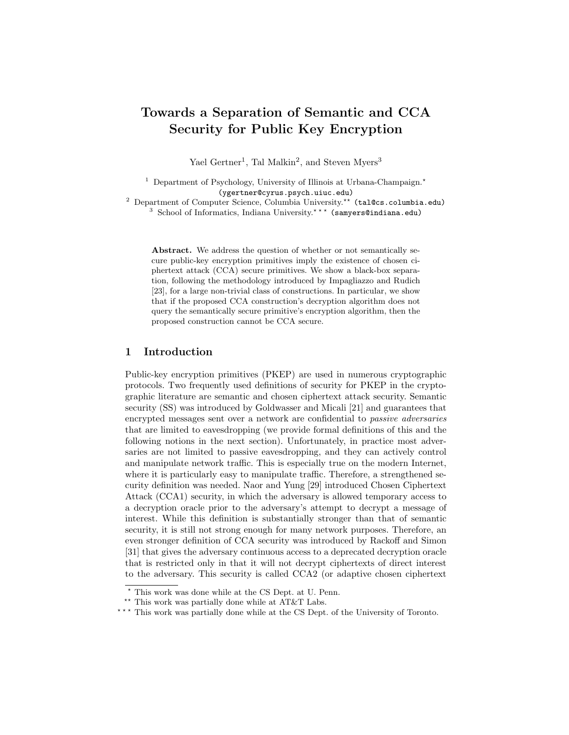# Towards a Separation of Semantic and CCA Security for Public Key Encryption

Yael Gertner<sup>1</sup>, Tal Malkin<sup>2</sup>, and Steven Myers<sup>3</sup>

 $^1\,$  Department of Psychology, University of Illinois at Urbana-Champaign.' (ygertner@cyrus.psych.uiuc.edu)

<sup>2</sup> Department of Computer Science, Columbia University.<sup>\*\*</sup> (tal@cs.columbia.edu)  $3$  School of Informatics, Indiana University.<sup>\*\*\*</sup> (samyers@indiana.edu)

Abstract. We address the question of whether or not semantically secure public-key encryption primitives imply the existence of chosen ciphertext attack (CCA) secure primitives. We show a black-box separation, following the methodology introduced by Impagliazzo and Rudich [23], for a large non-trivial class of constructions. In particular, we show that if the proposed CCA construction's decryption algorithm does not query the semantically secure primitive's encryption algorithm, then the proposed construction cannot be CCA secure.

## 1 Introduction

Public-key encryption primitives (PKEP) are used in numerous cryptographic protocols. Two frequently used definitions of security for PKEP in the cryptographic literature are semantic and chosen ciphertext attack security. Semantic security (SS) was introduced by Goldwasser and Micali [21] and guarantees that encrypted messages sent over a network are confidential to passive adversaries that are limited to eavesdropping (we provide formal definitions of this and the following notions in the next section). Unfortunately, in practice most adversaries are not limited to passive eavesdropping, and they can actively control and manipulate network traffic. This is especially true on the modern Internet, where it is particularly easy to manipulate traffic. Therefore, a strengthened security definition was needed. Naor and Yung [29] introduced Chosen Ciphertext Attack (CCA1) security, in which the adversary is allowed temporary access to a decryption oracle prior to the adversary's attempt to decrypt a message of interest. While this definition is substantially stronger than that of semantic security, it is still not strong enough for many network purposes. Therefore, an even stronger definition of CCA security was introduced by Rackoff and Simon [31] that gives the adversary continuous access to a deprecated decryption oracle that is restricted only in that it will not decrypt ciphertexts of direct interest to the adversary. This security is called CCA2 (or adaptive chosen ciphertext

<sup>?</sup> This work was done while at the CS Dept. at U. Penn.

<sup>\*\*</sup> This work was partially done while at  $AT&T$  Labs.

<sup>\*\*\*</sup> This work was partially done while at the CS Dept. of the University of Toronto.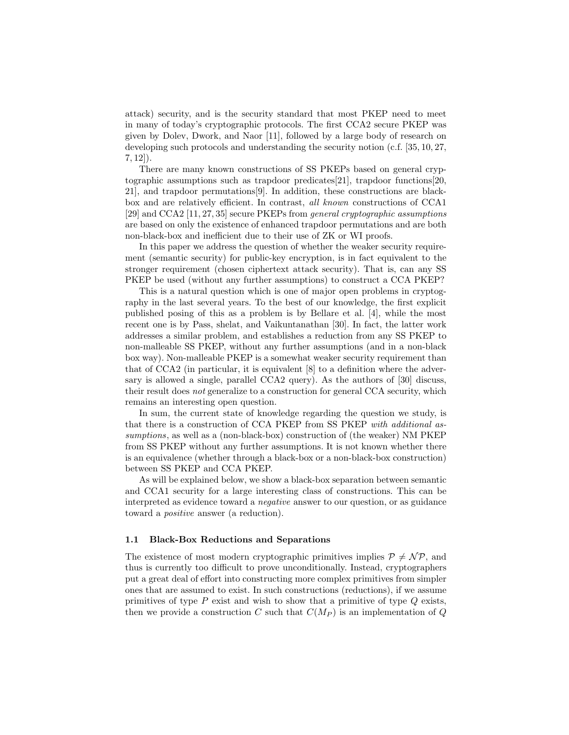attack) security, and is the security standard that most PKEP need to meet in many of today's cryptographic protocols. The first CCA2 secure PKEP was given by Dolev, Dwork, and Naor [11], followed by a large body of research on developing such protocols and understanding the security notion (c.f. [35, 10, 27, 7, 12]).

There are many known constructions of SS PKEPs based on general cryptographic assumptions such as trapdoor predicates[21], trapdoor functions[20, 21], and trapdoor permutations[9]. In addition, these constructions are blackbox and are relatively efficient. In contrast, all known constructions of CCA1 [29] and CCA2 [11, 27, 35] secure PKEPs from general cryptographic assumptions are based on only the existence of enhanced trapdoor permutations and are both non-black-box and inefficient due to their use of ZK or WI proofs.

In this paper we address the question of whether the weaker security requirement (semantic security) for public-key encryption, is in fact equivalent to the stronger requirement (chosen ciphertext attack security). That is, can any SS PKEP be used (without any further assumptions) to construct a CCA PKEP?

This is a natural question which is one of major open problems in cryptography in the last several years. To the best of our knowledge, the first explicit published posing of this as a problem is by Bellare et al. [4], while the most recent one is by Pass, shelat, and Vaikuntanathan [30]. In fact, the latter work addresses a similar problem, and establishes a reduction from any SS PKEP to non-malleable SS PKEP, without any further assumptions (and in a non-black box way). Non-malleable PKEP is a somewhat weaker security requirement than that of CCA2 (in particular, it is equivalent [8] to a definition where the adversary is allowed a single, parallel CCA2 query). As the authors of [30] discuss, their result does not generalize to a construction for general CCA security, which remains an interesting open question.

In sum, the current state of knowledge regarding the question we study, is that there is a construction of CCA PKEP from SS PKEP with additional assumptions, as well as a (non-black-box) construction of (the weaker) NM PKEP from SS PKEP without any further assumptions. It is not known whether there is an equivalence (whether through a black-box or a non-black-box construction) between SS PKEP and CCA PKEP.

As will be explained below, we show a black-box separation between semantic and CCA1 security for a large interesting class of constructions. This can be interpreted as evidence toward a negative answer to our question, or as guidance toward a positive answer (a reduction).

## 1.1 Black-Box Reductions and Separations

The existence of most modern cryptographic primitives implies  $P \neq \mathcal{NP}$ , and thus is currently too difficult to prove unconditionally. Instead, cryptographers put a great deal of effort into constructing more complex primitives from simpler ones that are assumed to exist. In such constructions (reductions), if we assume primitives of type  $P$  exist and wish to show that a primitive of type  $Q$  exists, then we provide a construction C such that  $C(M_P)$  is an implementation of Q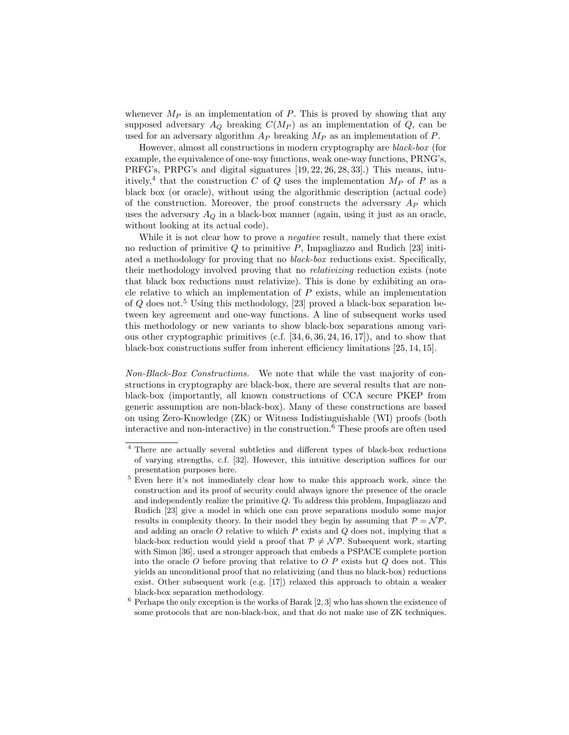whenever  $M_P$  is an implementation of  $P$ . This is proved by showing that any supposed adversary  $A_Q$  breaking  $C(M_P)$  as an implementation of  $Q$ , can be used for an adversary algorithm  $A_P$  breaking  $M_P$  as an implementation of  $P$ .

However, almost all constructions in modern cryptography are black-box (for example, the equivalence of one-way functions, weak one-way functions, PRNG's, PRFG's, PRPG's and digital signatures [19, 22, 26, 28, 33].) This means, intuitively,<sup>4</sup> that the construction C of Q uses the implementation  $M_P$  of P as a black box (or oracle), without using the algorithmic description (actual code) of the construction. Moreover, the proof constructs the adversary  $A_P$  which uses the adversary  $A_Q$  in a black-box manner (again, using it just as an oracle, without looking at its actual code).

While it is not clear how to prove a *negative* result, namely that there exist no reduction of primitive  $Q$  to primitive  $P$ , Impagliazzo and Rudich [23] initiated a methodology for proving that no black-box reductions exist. Specifically, their methodology involved proving that no relativizing reduction exists (note that black box reductions must relativize). This is done by exhibiting an oracle relative to which an implementation of  $P$  exists, while an implementation of  $Q$  does not.<sup>5</sup> Using this methodology, [23] proved a black-box separation between key agreement and one-way functions. A line of subsequent works used this methodology or new variants to show black-box separations among various other cryptographic primitives (c.f. [34, 6, 36, 24, 16, 17]), and to show that black-box constructions suffer from inherent efficiency limitations [25, 14, 15].

Non-Black-Box Constructions. We note that while the vast majority of constructions in cryptography are black-box, there are several results that are nonblack-box (importantly, all known constructions of CCA secure PKEP from generic assumption are non-black-box). Many of these constructions are based on using Zero-Knowledge (ZK) or Witness Indistinguishable (WI) proofs (both interactive and non-interactive) in the construction.<sup>6</sup> These proofs are often used

<sup>4</sup> There are actually several subtleties and different types of black-box reductions of varying strengths, c.f. [32]. However, this intuitive description suffices for our presentation purposes here.

<sup>&</sup>lt;sup>5</sup> Even here it's not immediately clear how to make this approach work, since the construction and its proof of security could always ignore the presence of the oracle and independently realize the primitive Q. To address this problem, Impagliazzo and Rudich [23] give a model in which one can prove separations modulo some major results in complexity theory. In their model they begin by assuming that  $P = \mathcal{NP}$ , and adding an oracle  $O$  relative to which  $P$  exists and  $Q$  does not, implying that a black-box reduction would yield a proof that  $P \neq \mathcal{NP}$ . Subsequent work, starting with Simon [36], used a stronger approach that embeds a PSPACE complete portion into the oracle O before proving that relative to  $O$  P exists but  $Q$  does not. This yields an unconditional proof that no relativizing (and thus no black-box) reductions exist. Other subsequent work (e.g. [17]) relaxed this approach to obtain a weaker black-box separation methodology.

 $6$  Perhaps the only exception is the works of Barak [2, 3] who has shown the existence of some protocols that are non-black-box, and that do not make use of ZK techniques.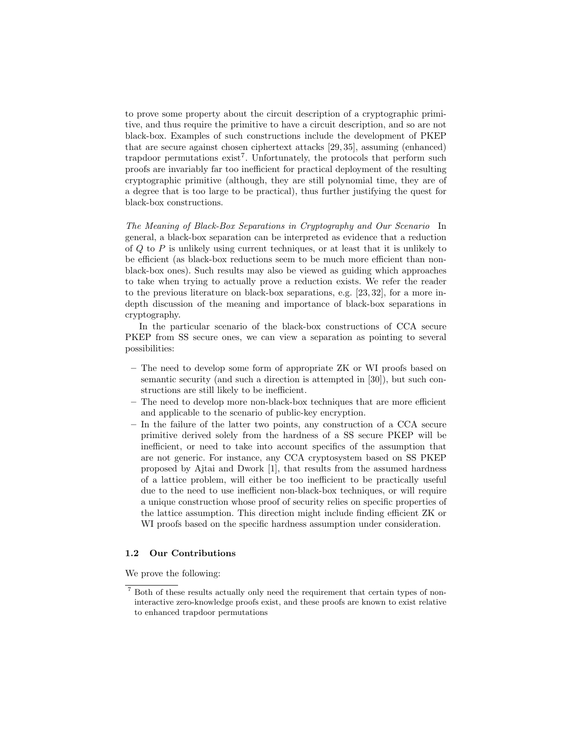to prove some property about the circuit description of a cryptographic primitive, and thus require the primitive to have a circuit description, and so are not black-box. Examples of such constructions include the development of PKEP that are secure against chosen ciphertext attacks [29, 35], assuming (enhanced) trapdoor permutations exist<sup>7</sup>. Unfortunately, the protocols that perform such proofs are invariably far too inefficient for practical deployment of the resulting cryptographic primitive (although, they are still polynomial time, they are of a degree that is too large to be practical), thus further justifying the quest for black-box constructions.

The Meaning of Black-Box Separations in Cryptography and Our Scenario In general, a black-box separation can be interpreted as evidence that a reduction of  $Q$  to  $P$  is unlikely using current techniques, or at least that it is unlikely to be efficient (as black-box reductions seem to be much more efficient than nonblack-box ones). Such results may also be viewed as guiding which approaches to take when trying to actually prove a reduction exists. We refer the reader to the previous literature on black-box separations, e.g. [23, 32], for a more indepth discussion of the meaning and importance of black-box separations in cryptography.

In the particular scenario of the black-box constructions of CCA secure PKEP from SS secure ones, we can view a separation as pointing to several possibilities:

- The need to develop some form of appropriate ZK or WI proofs based on semantic security (and such a direction is attempted in [30]), but such constructions are still likely to be inefficient.
- The need to develop more non-black-box techniques that are more efficient and applicable to the scenario of public-key encryption.
- In the failure of the latter two points, any construction of a CCA secure primitive derived solely from the hardness of a SS secure PKEP will be inefficient, or need to take into account specifics of the assumption that are not generic. For instance, any CCA cryptosystem based on SS PKEP proposed by Ajtai and Dwork [1], that results from the assumed hardness of a lattice problem, will either be too inefficient to be practically useful due to the need to use inefficient non-black-box techniques, or will require a unique construction whose proof of security relies on specific properties of the lattice assumption. This direction might include finding efficient ZK or WI proofs based on the specific hardness assumption under consideration.

#### 1.2 Our Contributions

We prove the following:

<sup>7</sup> Both of these results actually only need the requirement that certain types of noninteractive zero-knowledge proofs exist, and these proofs are known to exist relative to enhanced trapdoor permutations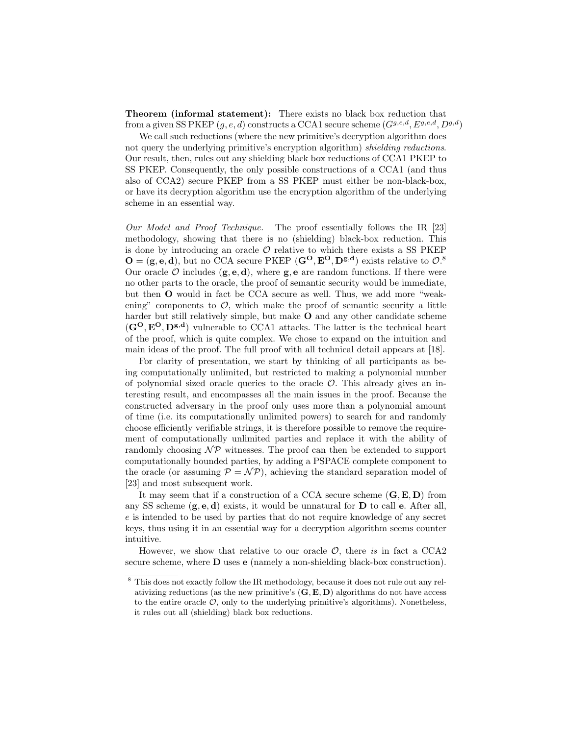Theorem (informal statement): There exists no black box reduction that from a given SS PKEP  $(g, e, d)$  constructs a CCA1 secure scheme  $(G^{g,e,d}, E^{g,e,d}, D^{g,d})$ 

We call such reductions (where the new primitive's decryption algorithm does not query the underlying primitive's encryption algorithm) shielding reductions. Our result, then, rules out any shielding black box reductions of CCA1 PKEP to SS PKEP. Consequently, the only possible constructions of a CCA1 (and thus also of CCA2) secure PKEP from a SS PKEP must either be non-black-box, or have its decryption algorithm use the encryption algorithm of the underlying scheme in an essential way.

Our Model and Proof Technique. The proof essentially follows the IR [23] methodology, showing that there is no (shielding) black-box reduction. This is done by introducing an oracle  $\mathcal O$  relative to which there exists a SS PKEP  $\mathbf{O} = (\mathbf{g}, \mathbf{e}, \mathbf{d})$ , but no CCA secure PKEP  $(\mathbf{G}^{\mathbf{O}}, \mathbf{E}^{\mathbf{O}}, \mathbf{D}^{\mathbf{g}, \mathbf{d}})$  exists relative to  $\mathcal{O}.8$ Our oracle  $\mathcal O$  includes  $(g, e, d)$ , where  $g, e$  are random functions. If there were no other parts to the oracle, the proof of semantic security would be immediate, but then O would in fact be CCA secure as well. Thus, we add more "weakening" components to  $\mathcal{O}$ , which make the proof of semantic security a little harder but still relatively simple, but make O and any other candidate scheme  $(\mathbf{G^O}, \mathbf{E^O}, \mathbf{D^{g,d}})$  vulnerable to CCA1 attacks. The latter is the technical heart of the proof, which is quite complex. We chose to expand on the intuition and main ideas of the proof. The full proof with all technical detail appears at [18].

For clarity of presentation, we start by thinking of all participants as being computationally unlimited, but restricted to making a polynomial number of polynomial sized oracle queries to the oracle  $\mathcal{O}$ . This already gives an interesting result, and encompasses all the main issues in the proof. Because the constructed adversary in the proof only uses more than a polynomial amount of time (i.e. its computationally unlimited powers) to search for and randomly choose efficiently verifiable strings, it is therefore possible to remove the requirement of computationally unlimited parties and replace it with the ability of randomly choosing  $\mathcal{NP}$  witnesses. The proof can then be extended to support computationally bounded parties, by adding a PSPACE complete component to the oracle (or assuming  $\mathcal{P} = \mathcal{NP}$ ), achieving the standard separation model of [23] and most subsequent work.

It may seem that if a construction of a CCA secure scheme  $(G, E, D)$  from any SS scheme  $(g, e, d)$  exists, it would be unnatural for  $D$  to call e. After all, e is intended to be used by parties that do not require knowledge of any secret keys, thus using it in an essential way for a decryption algorithm seems counter intuitive.

However, we show that relative to our oracle  $\mathcal{O}$ , there is in fact a CCA2 secure scheme, where **D** uses **e** (namely a non-shielding black-box construction).

<sup>8</sup> This does not exactly follow the IR methodology, because it does not rule out any relativizing reductions (as the new primitive's  $(G, E, D)$  algorithms do not have access to the entire oracle  $\mathcal{O}$ , only to the underlying primitive's algorithms). Nonetheless, it rules out all (shielding) black box reductions.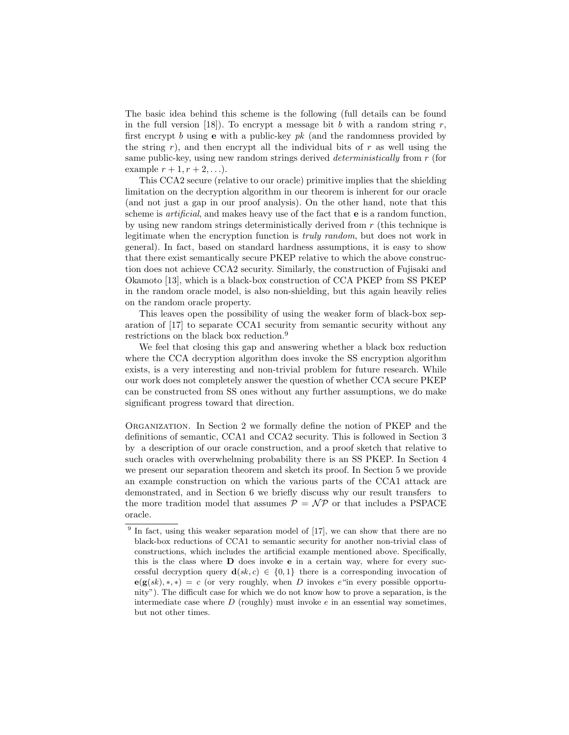The basic idea behind this scheme is the following (full details can be found in the full version [18]). To encrypt a message bit b with a random string r, first encrypt b using **e** with a public-key  $pk$  (and the randomness provided by the string r), and then encrypt all the individual bits of r as well using the same public-key, using new random strings derived deterministically from r (for example  $r+1, r+2, \ldots$ ).

This CCA2 secure (relative to our oracle) primitive implies that the shielding limitation on the decryption algorithm in our theorem is inherent for our oracle (and not just a gap in our proof analysis). On the other hand, note that this scheme is *artificial*, and makes heavy use of the fact that **e** is a random function, by using new random strings deterministically derived from  $r$  (this technique is legitimate when the encryption function is truly random, but does not work in general). In fact, based on standard hardness assumptions, it is easy to show that there exist semantically secure PKEP relative to which the above construction does not achieve CCA2 security. Similarly, the construction of Fujisaki and Okamoto [13], which is a black-box construction of CCA PKEP from SS PKEP in the random oracle model, is also non-shielding, but this again heavily relies on the random oracle property.

This leaves open the possibility of using the weaker form of black-box separation of [17] to separate CCA1 security from semantic security without any restrictions on the black box reduction.<sup>9</sup>

We feel that closing this gap and answering whether a black box reduction where the CCA decryption algorithm does invoke the SS encryption algorithm exists, is a very interesting and non-trivial problem for future research. While our work does not completely answer the question of whether CCA secure PKEP can be constructed from SS ones without any further assumptions, we do make significant progress toward that direction.

Organization. In Section 2 we formally define the notion of PKEP and the definitions of semantic, CCA1 and CCA2 security. This is followed in Section 3 by a description of our oracle construction, and a proof sketch that relative to such oracles with overwhelming probability there is an SS PKEP. In Section 4 we present our separation theorem and sketch its proof. In Section 5 we provide an example construction on which the various parts of the CCA1 attack are demonstrated, and in Section 6 we briefly discuss why our result transfers to the more tradition model that assumes  $P = \mathcal{NP}$  or that includes a PSPACE oracle.

<sup>&</sup>lt;sup>9</sup> In fact, using this weaker separation model of [17], we can show that there are no black-box reductions of CCA1 to semantic security for another non-trivial class of constructions, which includes the artificial example mentioned above. Specifically, this is the class where D does invoke e in a certain way, where for every successful decryption query  $\mathbf{d}(sk, c) \in \{0, 1\}$  there is a corresponding invocation of  $e(g(sk), *, *) = c$  (or very roughly, when D invokes e"in every possible opportunity"). The difficult case for which we do not know how to prove a separation, is the intermediate case where  $D$  (roughly) must invoke  $e$  in an essential way sometimes, but not other times.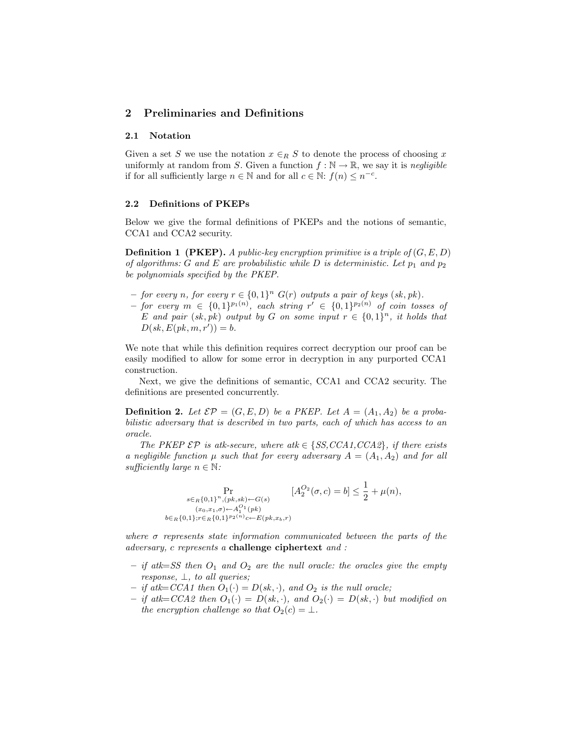# 2 Preliminaries and Definitions

#### 2.1 Notation

Given a set S we use the notation  $x \in_R S$  to denote the process of choosing x uniformly at random from S. Given a function  $f : \mathbb{N} \to \mathbb{R}$ , we say it is negligible if for all sufficiently large  $n \in \mathbb{N}$  and for all  $c \in \mathbb{N}$ :  $f(n) \leq n^{-c}$ .

#### 2.2 Definitions of PKEPs

Below we give the formal definitions of PKEPs and the notions of semantic, CCA1 and CCA2 security.

**Definition 1 (PKEP).** A public-key encryption primitive is a triple of  $(G, E, D)$ of algorithms: G and E are probabilistic while D is deterministic. Let  $p_1$  and  $p_2$ be polynomials specified by the PKEP.

- for every n, for every  $r \in \{0,1\}^n$   $G(r)$  outputs a pair of keys  $(sk, pk)$ .
- $−$  for every  $m \in \{0,1\}^{p_1(n)}$ , each string  $r' \in \{0,1\}^{p_2(n)}$  of coin tosses of E and pair  $(sk, pk)$  output by G on some input  $r \in \{0,1\}^n$ , it holds that  $D(sk, E(pk, m, r')) = b.$

We note that while this definition requires correct decryption our proof can be easily modified to allow for some error in decryption in any purported CCA1 construction.

Next, we give the definitions of semantic, CCA1 and CCA2 security. The definitions are presented concurrently.

**Definition 2.** Let  $\mathcal{E}P = (G, E, D)$  be a PKEP. Let  $A = (A_1, A_2)$  be a probabilistic adversary that is described in two parts, each of which has access to an oracle.

The PKEP  $\mathcal{E} \mathcal{P}$  is atk-secure, where atk  $\in \{SS, CCA1, CCA2\}$ , if there exists a negligible function  $\mu$  such that for every adversary  $A = (A_1, A_2)$  and for all sufficiently large  $n \in \mathbb{N}$ :

$$
\Pr_{\substack{s \in_R\{0,1\}^n, (pk, sk) \leftarrow G(s) \\ (x_0, x_1, \sigma) \leftarrow A_1^{O_1}(pk)}} [A_2^{O_2}(\sigma, c) = b] \le \frac{1}{2} + \mu(n),
$$
\n
$$
\lim_{b \in_R\{0,1\}^r \in_R\{0,1\}^{p_2(n)} c \leftarrow E(pk, x_b, r)}
$$

where  $\sigma$  represents state information communicated between the parts of the adversary, c represents a challenge ciphertext and :

- if atk=SS then  $O_1$  and  $O_2$  are the null oracle: the oracles give the empty response,  $\perp$ , to all queries;
- if atk=CCA1 then  $O_1(\cdot) = D(sk, \cdot)$ , and  $O_2$  is the null oracle;
- if atk=CCA2 then  $O_1(\cdot) = D(sk, \cdot)$ , and  $O_2(\cdot) = D(sk, \cdot)$  but modified on the encryption challenge so that  $O_2(c) = \bot$ .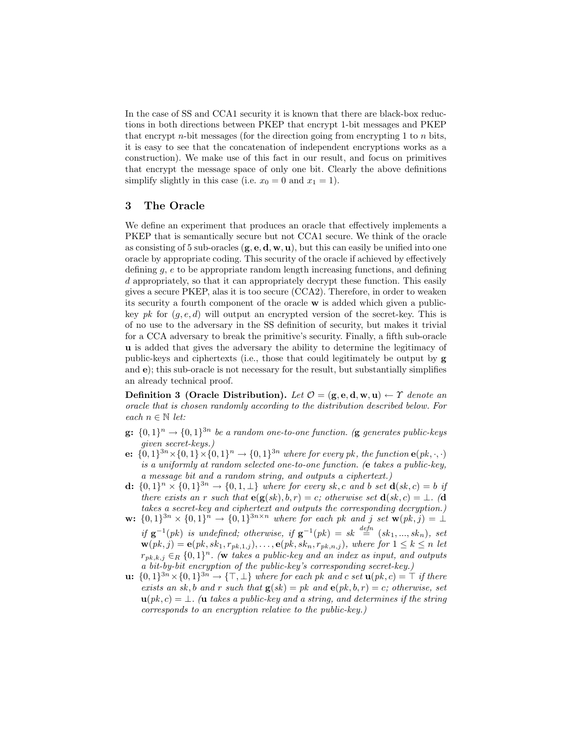In the case of SS and CCA1 security it is known that there are black-box reductions in both directions between PKEP that encrypt 1-bit messages and PKEP that encrypt  $n$ -bit messages (for the direction going from encrypting 1 to  $n$  bits, it is easy to see that the concatenation of independent encryptions works as a construction). We make use of this fact in our result, and focus on primitives that encrypt the message space of only one bit. Clearly the above definitions simplify slightly in this case (i.e.  $x_0 = 0$  and  $x_1 = 1$ ).

## 3 The Oracle

We define an experiment that produces an oracle that effectively implements a PKEP that is semantically secure but not CCA1 secure. We think of the oracle as consisting of 5 sub-oracles  $(g, e, d, w, u)$ , but this can easily be unified into one oracle by appropriate coding. This security of the oracle if achieved by effectively defining g, e to be appropriate random length increasing functions, and defining d appropriately, so that it can appropriately decrypt these function. This easily gives a secure PKEP, alas it is too secure (CCA2). Therefore, in order to weaken its security a fourth component of the oracle w is added which given a publickey pk for  $(q, e, d)$  will output an encrypted version of the secret-key. This is of no use to the adversary in the SS definition of security, but makes it trivial for a CCA adversary to break the primitive's security. Finally, a fifth sub-oracle u is added that gives the adversary the ability to determine the legitimacy of public-keys and ciphertexts (i.e., those that could legitimately be output by g and  $e$ ); this sub-oracle is not necessary for the result, but substantially simplifies an already technical proof.

Definition 3 (Oracle Distribution). Let  $\mathcal{O} = (\mathbf{g}, \mathbf{e}, \mathbf{d}, \mathbf{w}, \mathbf{u}) \leftarrow \Upsilon$  denote an oracle that is chosen randomly according to the distribution described below. For each  $n \in \mathbb{N}$  let:

- **g:**  $\{0,1\}^n \rightarrow \{0,1\}^{3n}$  be a random one-to-one function. (**g** generates public-keys given secret-keys.)
- **e:**  $\{0,1\}^{3n} \times \{0,1\} \times \{0,1\}^n \rightarrow \{0,1\}^{3n}$  where for every pk, the function  $e(pk,\cdot,\cdot)$ is a uniformly at random selected one-to-one function. (e takes a public-key, a message bit and a random string, and outputs a ciphertext.)
- **d:**  $\{0,1\}^n \times \{0,1\}^{3n} \rightarrow \{0,1,\perp\}$  where for every sk, c and b set  $\mathbf{d}(sk,c) = b$  if there exists an r such that  $e(g(sk), b, r) = c$ ; otherwise set  $d(sk, c) = \bot$ . (d) takes a secret-key and ciphertext and outputs the corresponding decryption.)
- $\mathbf{w}: \{0,1\}^{3n} \times \{0,1\}^n \to \{0,1\}^{3n \times n}$  where for each pk and j set  $\mathbf{w}(pk,j) = \bot$ if  $g^{-1}(pk)$  is undefined; otherwise, if  $g^{-1}(pk) = sk \stackrel{defn}{=} (sk_1, ..., sk_n)$ , set  $\mathbf{w}(pk, j) = \mathbf{e}(pk, sk_1, r_{pk,1,j}), \ldots, \mathbf{e}(pk, sk_n, r_{pk,n,j}),$  where for  $1 \leq k \leq n$  let  $r_{pk,k,j} \in_R \{0,1\}^n$ . (w takes a public-key and an index as input, and outputs a bit-by-bit encryption of the public-key's corresponding secret-key.)
- **u:**  $\{0,1\}^{3n} \times \{0,1\}^{3n} \rightarrow \{\top, \bot\}$  where for each pk and c set  $\mathbf{u}(pk, c) = \top$  if there exists an sk, b and r such that  $g(sk) = pk$  and  $e(pk, b, r) = c$ ; otherwise, set  $u(pk, c) = \bot$ . (u takes a public-key and a string, and determines if the string corresponds to an encryption relative to the public-key.)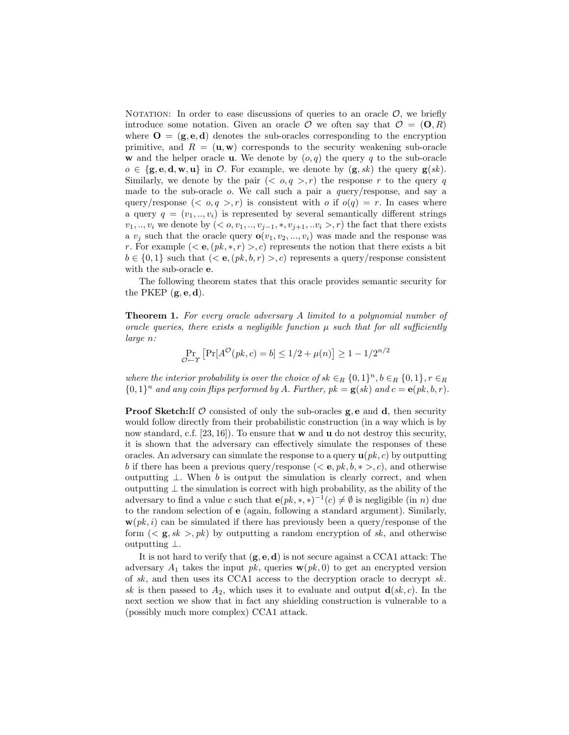NOTATION: In order to ease discussions of queries to an oracle  $\mathcal{O}$ , we briefly introduce some notation. Given an oracle  $\mathcal O$  we often say that  $\mathcal O = (\mathbf O, R)$ where  $\mathbf{O} = (\mathbf{g}, \mathbf{e}, \mathbf{d})$  denotes the sub-oracles corresponding to the encryption primitive, and  $R = (\mathbf{u}, \mathbf{w})$  corresponds to the security weakening sub-oracle w and the helper oracle **u**. We denote by  $(o, q)$  the query q to the sub-oracle  $o \in {\mathbf{g},\mathbf{e},\mathbf{d},\mathbf{w},\mathbf{u}}$  in  $\mathcal{O}$ . For example, we denote by  $(\mathbf{g}, sk)$  the query  $\mathbf{g}(sk)$ . Similarly, we denote by the pair  $( $o, q > r$ ) the response r to the query q$ made to the sub-oracle o. We call such a pair a query/response, and say a query/response  $( $o, q > r$ ) is consistent with  $o$  if  $o(q) = r$ . In cases where$ a query  $q = (v_1, ..., v_i)$  is represented by several semantically different strings  $v_1, \ldots, v_i$  we denote by  $( $o, v_1, \ldots, v_{j-1}, * , v_{j+1}, \ldots, v_i > 0$  the fact that there exists$ a  $v_i$  such that the oracle query  $\mathbf{o}(v_1, v_2, ..., v_i)$  was made and the response was r. For example  $(**e**, (pk, *, r) > c)$  represents the notion that there exists a bit  $b \in \{0,1\}$  such that  $(**e**, (pk, b, r) > c$  represents a query/response consistent with the sub-oracle e.

The following theorem states that this oracle provides semantic security for the PKEP  $(g, e, d)$ .

Theorem 1. For every oracle adversary A limited to a polynomial number of oracle queries, there exists a negligible function  $\mu$  such that for all sufficiently large n:

$$
\Pr_{\mathcal{O}\leftarrow\varUpsilon} \left[ \Pr[A^{\mathcal{O}}(pk, c) = b] \le 1/2 + \mu(n) \right] \ge 1 - 1/2^{n/2}
$$

where the interior probability is over the choice of  $sk \in_R \{0,1\}^n$ ,  $b \in_R \{0,1\}$ ,  $r \in_R$  $\{0,1\}^n$  and any coin flips performed by A. Further,  $pk = g(sk)$  and  $c = e(pk, b, r)$ .

**Proof Sketch:**If  $\mathcal O$  consisted of only the sub-oracles  $g$ , e and d, then security would follow directly from their probabilistic construction (in a way which is by now standard, c.f.  $[23, 16]$ . To ensure that **w** and **u** do not destroy this security, it is shown that the adversary can effectively simulate the responses of these oracles. An adversary can simulate the response to a query  $\mathbf{u}(pk, c)$  by outputting b if there has been a previous query/response ( $\lt e$ ,  $pk$ ,  $b$ ,  $\lt \gt$ ,  $c$ ), and otherwise outputting  $\perp$ . When b is output the simulation is clearly correct, and when outputting  $\perp$  the simulation is correct with high probability, as the ability of the adversary to find a value c such that  $e(pk, *, *)^{-1}(c) \neq \emptyset$  is negligible (in n) due to the random selection of e (again, following a standard argument). Similarly,  $\mathbf{w}(pk, i)$  can be simulated if there has previously been a query/response of the form  $(**g**, *sk*>, *pk*)$  by outputting a random encryption of sk, and otherwise outputting ⊥.

It is not hard to verify that  $(g, e, d)$  is not secure against a CCA1 attack: The adversary  $A_1$  takes the input pk, queries  $\mathbf{w}(pk, 0)$  to get an encrypted version of  $sk$ , and then uses its CCA1 access to the decryption oracle to decrypt  $sk$ . sk is then passed to  $A_2$ , which uses it to evaluate and output  $\mathbf{d}(sk, c)$ . In the next section we show that in fact any shielding construction is vulnerable to a (possibly much more complex) CCA1 attack.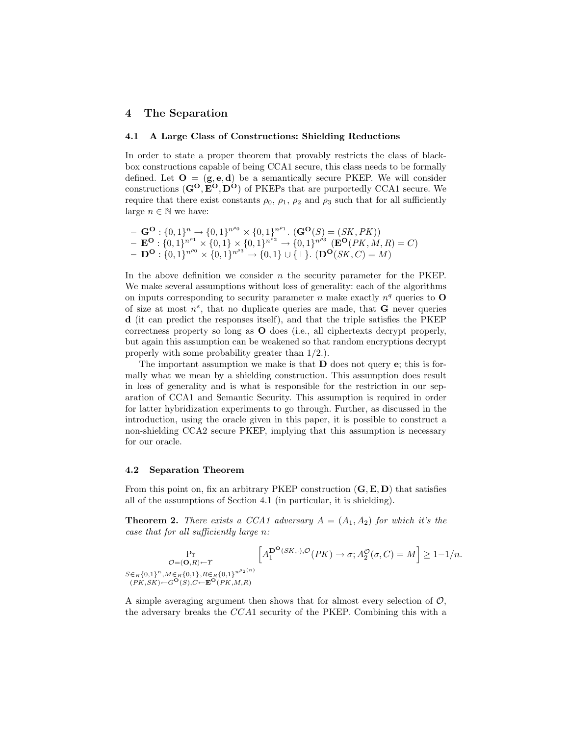### 4 The Separation

#### 4.1 A Large Class of Constructions: Shielding Reductions

In order to state a proper theorem that provably restricts the class of blackbox constructions capable of being CCA1 secure, this class needs to be formally defined. Let  $O = (g, e, d)$  be a semantically secure PKEP. We will consider constructions  $(\mathbf{G}^{\mathbf{O}}, \mathbf{E}^{\mathbf{O}}, \mathbf{D}^{\mathbf{O}})$  of PKEPs that are purportedly CCA1 secure. We require that there exist constants  $\rho_0$ ,  $\rho_1$ ,  $\rho_2$  and  $\rho_3$  such that for all sufficiently large  $n \in \mathbb{N}$  we have:

 $-\mathbf{G}^{\mathbf{O}}: \{0,1\}^{n} \to \{0,1\}^{n^{\rho_0}} \times \{0,1\}^{n^{\rho_1}}$ .  $(\mathbf{G}^{\mathbf{O}}(S) = (SK, PK))$  $-\mathbf{E}^{\mathbf{O}}: \{0,1\}^{n^{\rho_1}} \times \{0,1\} \times \{0,1\}^{n^{\rho_2}} \to \{0,1\}^{n^{\rho_3}} \;(\mathbf{E}^{\mathbf{O}}(PK, M, R) = C)$  $- \mathbf{D}^{\mathbf{O}} : \{0,1\}^{n^{p_0}} \times \{0,1\}^{n^{p_3}} \to \{0,1\} \cup \{\perp\}$ .  $(\mathbf{D}^{\mathbf{O}}(SK, C) = M)$ 

In the above definition we consider  $n$  the security parameter for the PKEP. We make several assumptions without loss of generality: each of the algorithms on inputs corresponding to security parameter n make exactly  $n<sup>q</sup>$  queries to **O** of size at most  $n^s$ , that no duplicate queries are made, that **G** never queries d (it can predict the responses itself), and that the triple satisfies the PKEP correctness property so long as O does (i.e., all ciphertexts decrypt properly, but again this assumption can be weakened so that random encryptions decrypt properly with some probability greater than 1/2.).

The important assumption we make is that  **does not query <b>e**; this is formally what we mean by a shielding construction. This assumption does result in loss of generality and is what is responsible for the restriction in our separation of CCA1 and Semantic Security. This assumption is required in order for latter hybridization experiments to go through. Further, as discussed in the introduction, using the oracle given in this paper, it is possible to construct a non-shielding CCA2 secure PKEP, implying that this assumption is necessary for our oracle.

#### 4.2 Separation Theorem

From this point on, fix an arbitrary PKEP construction  $(G, E, D)$  that satisfies all of the assumptions of Section 4.1 (in particular, it is shielding).

**Theorem 2.** There exists a CCA1 adversary  $A = (A_1, A_2)$  for which it's the case that for all sufficiently large n:

$$
\Pr_{\substack{\mathcal{O}=(\mathbf{O},R)\leftarrow\Upsilon \\ S\in_R\{0,1\}^n,M\in_R\{0,1\},R\in_R\{0,1\}^{n^{\rho_2(n)}}}} \left[A_1^{\mathbf{D}^{\mathbf{O}}(SK,\cdot),\mathcal{O}}(PK)\to\sigma;A_2^{\mathcal{O}}(\sigma,C)=M\right] \ge 1-1/n.
$$

A simple averaging argument then shows that for almost every selection of  $\mathcal{O}$ , the adversary breaks the CCA1 security of the PKEP. Combining this with a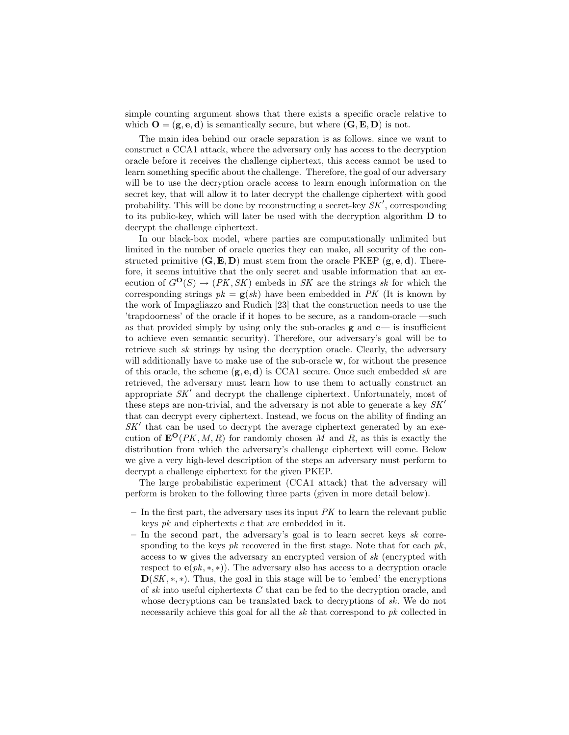simple counting argument shows that there exists a specific oracle relative to which  $\mathbf{O} = (\mathbf{g}, \mathbf{e}, \mathbf{d})$  is semantically secure, but where  $(\mathbf{G}, \mathbf{E}, \mathbf{D})$  is not.

The main idea behind our oracle separation is as follows. since we want to construct a CCA1 attack, where the adversary only has access to the decryption oracle before it receives the challenge ciphertext, this access cannot be used to learn something specific about the challenge. Therefore, the goal of our adversary will be to use the decryption oracle access to learn enough information on the secret key, that will allow it to later decrypt the challenge ciphertext with good probability. This will be done by reconstructing a secret-key  $SK'$ , corresponding to its public-key, which will later be used with the decryption algorithm D to decrypt the challenge ciphertext.

In our black-box model, where parties are computationally unlimited but limited in the number of oracle queries they can make, all security of the constructed primitive  $(G, E, D)$  must stem from the oracle PKEP  $(g, e, d)$ . Therefore, it seems intuitive that the only secret and usable information that an execution of  $G^{\mathbf{O}}(S) \to (PK, SK)$  embeds in SK are the strings sk for which the corresponding strings  $pk = g(sk)$  have been embedded in PK (It is known by the work of Impagliazzo and Rudich [23] that the construction needs to use the 'trapdoorness' of the oracle if it hopes to be secure, as a random-oracle —such as that provided simply by using only the sub-oracles  $g$  and  $e$ — is insufficient to achieve even semantic security). Therefore, our adversary's goal will be to retrieve such sk strings by using the decryption oracle. Clearly, the adversary will additionally have to make use of the sub-oracle **w**, for without the presence of this oracle, the scheme  $(g, e, d)$  is CCA1 secure. Once such embedded sk are retrieved, the adversary must learn how to use them to actually construct an appropriate  $SK'$  and decrypt the challenge ciphertext. Unfortunately, most of these steps are non-trivial, and the adversary is not able to generate a key  $SK'$ that can decrypt every ciphertext. Instead, we focus on the ability of finding an  $SK'$  that can be used to decrypt the average ciphertext generated by an execution of  $\mathbf{E}^{\mathbf{O}}(PK, M, R)$  for randomly chosen M and R, as this is exactly the distribution from which the adversary's challenge ciphertext will come. Below we give a very high-level description of the steps an adversary must perform to decrypt a challenge ciphertext for the given PKEP.

The large probabilistic experiment (CCA1 attack) that the adversary will perform is broken to the following three parts (given in more detail below).

- $-$  In the first part, the adversary uses its input PK to learn the relevant public keys pk and ciphertexts c that are embedded in it.
- $-$  In the second part, the adversary's goal is to learn secret keys sk corresponding to the keys  $pk$  recovered in the first stage. Note that for each  $pk$ , access to w gives the adversary an encrypted version of sk (encrypted with respect to  $e(pk, *, *)$ ). The adversary also has access to a decryption oracle  $\mathbf{D}(SK, *, *).$  Thus, the goal in this stage will be to 'embed' the encryptions of sk into useful ciphertexts  $C$  that can be fed to the decryption oracle, and whose decryptions can be translated back to decryptions of sk. We do not necessarily achieve this goal for all the sk that correspond to pk collected in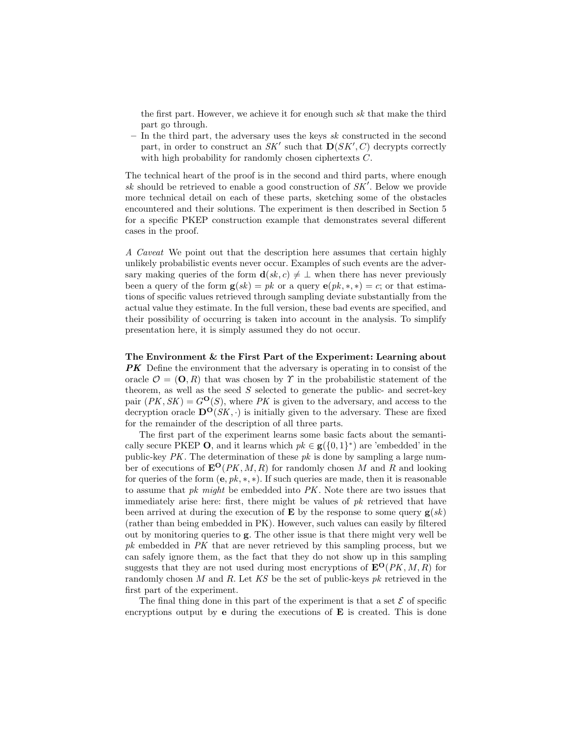the first part. However, we achieve it for enough such sk that make the third part go through.

 $-$ In the third part, the adversary uses the keys sk constructed in the second part, in order to construct an  $SK'$  such that  $\mathbf{D}(SK', C)$  decrypts correctly with high probability for randomly chosen ciphertexts C.

The technical heart of the proof is in the second and third parts, where enough sk should be retrieved to enable a good construction of  $SK'$ . Below we provide more technical detail on each of these parts, sketching some of the obstacles encountered and their solutions. The experiment is then described in Section 5 for a specific PKEP construction example that demonstrates several different cases in the proof.

A Caveat We point out that the description here assumes that certain highly unlikely probabilistic events never occur. Examples of such events are the adversary making queries of the form  $\mathbf{d}(sk, c) \neq \perp$  when there has never previously been a query of the form  $g(sk) = pk$  or a query  $e(pk, *, *) = c$ ; or that estimations of specific values retrieved through sampling deviate substantially from the actual value they estimate. In the full version, these bad events are specified, and their possibility of occurring is taken into account in the analysis. To simplify presentation here, it is simply assumed they do not occur.

The Environment & the First Part of the Experiment: Learning about **PK** Define the environment that the adversary is operating in to consist of the oracle  $\mathcal{O} = (\mathbf{O}, R)$  that was chosen by Y in the probabilistic statement of the theorem, as well as the seed  $S$  selected to generate the public- and secret-key pair  $(PK, SK) = G^{\mathbf{O}}(S)$ , where PK is given to the adversary, and access to the decryption oracle  $\mathbf{D}^{\mathbf{O}}(SK, \cdot)$  is initially given to the adversary. These are fixed for the remainder of the description of all three parts.

The first part of the experiment learns some basic facts about the semantically secure PKEP O, and it learns which  $pk \in \mathbf{g}(\{0,1\}^*)$  are 'embedded' in the public-key  $PK$ . The determination of these  $pk$  is done by sampling a large number of executions of  $\mathbf{E}^{\mathbf{O}}(PK, M, R)$  for randomly chosen M and R and looking for queries of the form  $(e, pk, *, *)$ . If such queries are made, then it is reasonable to assume that  $pk$  might be embedded into  $PK$ . Note there are two issues that immediately arise here: first, there might be values of  $pk$  retrieved that have been arrived at during the execution of **E** by the response to some query  $g(sk)$ (rather than being embedded in PK). However, such values can easily by filtered out by monitoring queries to g. The other issue is that there might very well be pk embedded in PK that are never retrieved by this sampling process, but we can safely ignore them, as the fact that they do not show up in this sampling suggests that they are not used during most encryptions of  $\mathbf{E}^{\mathbf{O}}(PK, M, R)$  for randomly chosen M and R. Let  $KS$  be the set of public-keys pk retrieved in the first part of the experiment.

The final thing done in this part of the experiment is that a set  $\mathcal E$  of specific encryptions output by  $e$  during the executions of  $E$  is created. This is done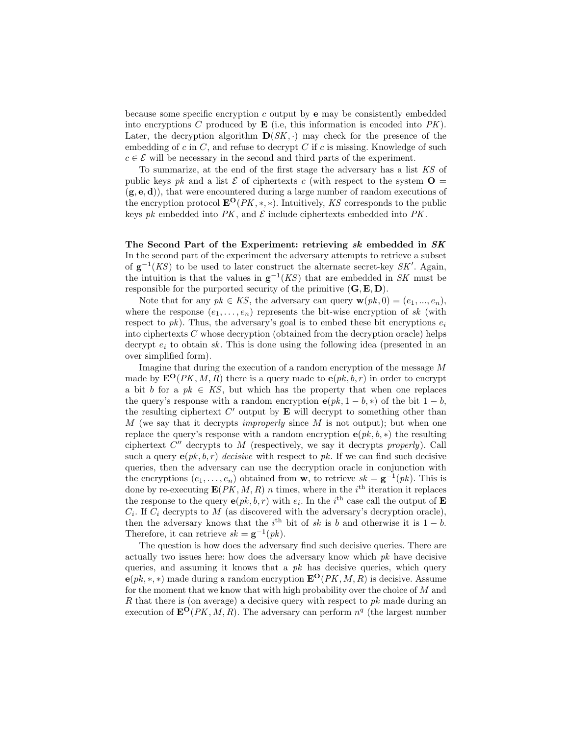because some specific encryption c output by e may be consistently embedded into encryptions C produced by  $\bf{E}$  (i.e, this information is encoded into  $PK$ ). Later, the decryption algorithm  $\mathbf{D}(SK, \cdot)$  may check for the presence of the embedding of  $c$  in  $C$ , and refuse to decrypt  $C$  if  $c$  is missing. Knowledge of such  $c \in \mathcal{E}$  will be necessary in the second and third parts of the experiment.

To summarize, at the end of the first stage the adversary has a list KS of public keys pk and a list  $\mathcal E$  of ciphertexts c (with respect to the system  $O =$  $(g, e, d)$ , that were encountered during a large number of random executions of the encryption protocol  $\mathbf{E}^{\mathbf{O}}(PK, *, *)$ . Intuitively, KS corresponds to the public keys pk embedded into  $PK$ , and  $\mathcal E$  include ciphertexts embedded into  $PK$ .

The Second Part of the Experiment: retrieving sk embedded in SK In the second part of the experiment the adversary attempts to retrieve a subset of  $g^{-1}(KS)$  to be used to later construct the alternate secret-key SK'. Again, the intuition is that the values in  $g^{-1}(KS)$  that are embedded in SK must be responsible for the purported security of the primitive  $(G, E, D)$ .

Note that for any  $pk \in KS$ , the adversary can query  $\mathbf{w}(pk, 0) = (e_1, ..., e_n)$ , where the response  $(e_1, \ldots, e_n)$  represents the bit-wise encryption of sk (with respect to  $pk$ ). Thus, the adversary's goal is to embed these bit encryptions  $e_i$ into ciphertexts  $C$  whose decryption (obtained from the decryption oracle) helps decrypt  $e_i$  to obtain sk. This is done using the following idea (presented in an over simplified form).

Imagine that during the execution of a random encryption of the message M made by  $\mathbf{E}^{\mathbf{O}}(PK, M, R)$  there is a query made to  $\mathbf{e}(pk, b, r)$  in order to encrypt a bit b for a  $pk \in KS$ , but which has the property that when one replaces the query's response with a random encryption  $e(pk, 1 - b, *)$  of the bit  $1 - b$ , the resulting ciphertext  $C'$  output by  $E$  will decrypt to something other than M (we say that it decrypts *improperly* since  $M$  is not output); but when one replace the query's response with a random encryption  $e(pk, b, *)$  the resulting ciphertext  $C''$  decrypts to  $M$  (respectively, we say it decrypts properly). Call such a query  $e(pk, b, r)$  decisive with respect to pk. If we can find such decisive queries, then the adversary can use the decryption oracle in conjunction with the encryptions  $(e_1, \ldots, e_n)$  obtained from **w**, to retrieve  $sk = \mathbf{g}^{-1}(pk)$ . This is done by re-executing  $\mathbf{E}(PK, M, R)$  *n* times, where in the *i*<sup>th</sup> iteration it replaces the response to the query  $e(pk, b, r)$  with  $e_i$ . In the  $i<sup>th</sup>$  case call the output of **E**  $C_i$ . If  $C_i$  decrypts to M (as discovered with the adversary's decryption oracle), then the adversary knows that the i<sup>th</sup> bit of sk is b and otherwise it is  $1 - b$ . Therefore, it can retrieve  $sk = \mathbf{g}^{-1}(pk)$ .

The question is how does the adversary find such decisive queries. There are actually two issues here: how does the adversary know which  $pk$  have decisive queries, and assuming it knows that a  $pk$  has decisive queries, which query  $e(pk, *, *)$  made during a random encryption  $\mathbf{E}^{\mathbf{O}}(PK, M, R)$  is decisive. Assume for the moment that we know that with high probability over the choice of M and R that there is (on average) a decisive query with respect to  $pk$  made during an execution of  $\mathbf{E}^{\mathbf{O}}(PK, M, R)$ . The adversary can perform  $n^q$  (the largest number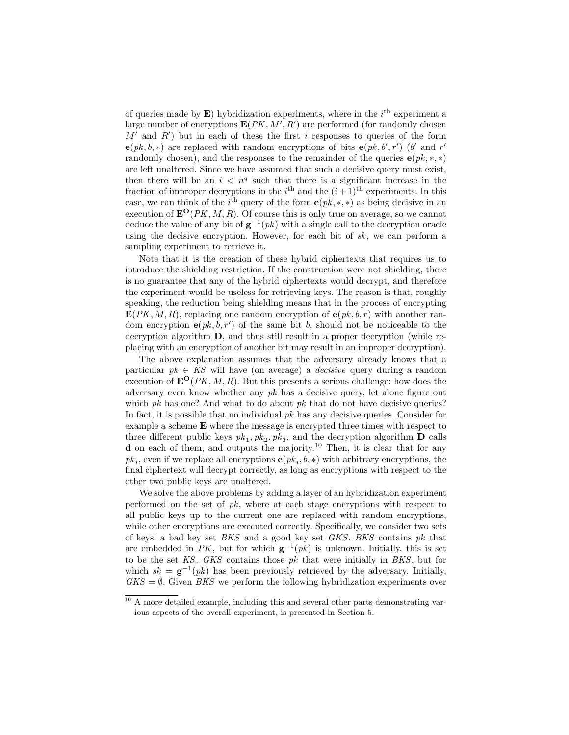of queries made by  $\mathbf{E}$ ) hybridization experiments, where in the  $i^{\text{th}}$  experiment a large number of encryptions  $\mathbf{E}(PK, M', R')$  are performed (for randomly chosen  $M'$  and  $R'$ ) but in each of these the first i responses to queries of the form  $e(pk, b, *)$  are replaced with random encryptions of bits  $e(pk, b', r')$  (b' and r' randomly chosen), and the responses to the remainder of the queries  $e(pk, *, *)$ are left unaltered. Since we have assumed that such a decisive query must exist, then there will be an  $i < n<sup>q</sup>$  such that there is a significant increase in the fraction of improper decryptions in the  $i<sup>th</sup>$  and the  $(i+1)<sup>th</sup>$  experiments. In this case, we can think of the i<sup>th</sup> query of the form  $e(pk, *, *)$  as being decisive in an execution of  $\mathbf{E}^{\mathbf{O}}(PK, M, R)$ . Of course this is only true on average, so we cannot deduce the value of any bit of  $g^{-1}(pk)$  with a single call to the decryption oracle using the decisive encryption. However, for each bit of  $sk$ , we can perform a sampling experiment to retrieve it.

Note that it is the creation of these hybrid ciphertexts that requires us to introduce the shielding restriction. If the construction were not shielding, there is no guarantee that any of the hybrid ciphertexts would decrypt, and therefore the experiment would be useless for retrieving keys. The reason is that, roughly speaking, the reduction being shielding means that in the process of encrypting  $\mathbf{E}(PK, M, R)$ , replacing one random encryption of  $\mathbf{e}(pk, b, r)$  with another random encryption  $e(pk, b, r')$  of the same bit b, should not be noticeable to the decryption algorithm D, and thus still result in a proper decryption (while replacing with an encryption of another bit may result in an improper decryption).

The above explanation assumes that the adversary already knows that a particular  $pk \in KS$  will have (on average) a *decisive* query during a random execution of  $\mathbf{E}^{\mathbf{O}}(PK, M, R)$ . But this presents a serious challenge: how does the adversary even know whether any  $pk$  has a decisive query, let alone figure out which  $pk$  has one? And what to do about  $pk$  that do not have decisive queries? In fact, it is possible that no individual  $pk$  has any decisive queries. Consider for example a scheme E where the message is encrypted three times with respect to three different public keys  $pk_1, pk_2, pk_3$ , and the decryption algorithm **D** calls d on each of them, and outputs the majority.<sup>10</sup> Then, it is clear that for any  $pk_i$ , even if we replace all encryptions  $\mathbf{e}(pk_i, b, *)$  with arbitrary encryptions, the final ciphertext will decrypt correctly, as long as encryptions with respect to the other two public keys are unaltered.

We solve the above problems by adding a layer of an hybridization experiment performed on the set of  $pk$ , where at each stage encryptions with respect to all public keys up to the current one are replaced with random encryptions, while other encryptions are executed correctly. Specifically, we consider two sets of keys: a bad key set BKS and a good key set GKS. BKS contains pk that are embedded in PK, but for which  $g^{-1}(pk)$  is unknown. Initially, this is set to be the set  $KS$ . GKS contains those  $pk$  that were initially in  $BKS$ , but for which  $sk = g^{-1}(pk)$  has been previously retrieved by the adversary. Initially,  $GKS = \emptyset$ . Given BKS we perform the following hybridization experiments over

 $10$  A more detailed example, including this and several other parts demonstrating various aspects of the overall experiment, is presented in Section 5.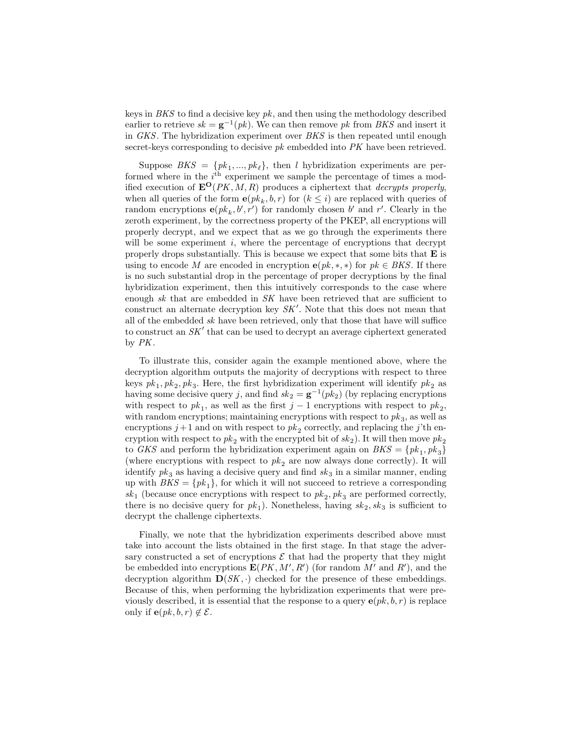keys in  $BKS$  to find a decisive key  $pk$ , and then using the methodology described earlier to retrieve  $sk = \mathbf{g}^{-1}(pk)$ . We can then remove pk from BKS and insert it in GKS. The hybridization experiment over BKS is then repeated until enough secret-keys corresponding to decisive  $pk$  embedded into  $PK$  have been retrieved.

Suppose  $BKS = \{pk_1, ..., pk_\ell\}$ , then l hybridization experiments are performed where in the  $i<sup>th</sup>$  experiment we sample the percentage of times a modified execution of  $\mathbf{E}^{\mathbf{O}}(PK, M, R)$  produces a ciphertext that *decrypts properly*, when all queries of the form  $e(pk_k, b, r)$  for  $(k \leq i)$  are replaced with queries of random encryptions  $e(pk_k, b', r')$  for randomly chosen b' and r'. Clearly in the zeroth experiment, by the correctness property of the PKEP, all encryptions will properly decrypt, and we expect that as we go through the experiments there will be some experiment  $i$ , where the percentage of encryptions that decrypt properly drops substantially. This is because we expect that some bits that  $E$  is using to encode M are encoded in encryption  $e(pk, *, *)$  for  $pk \in BKS$ . If there is no such substantial drop in the percentage of proper decryptions by the final hybridization experiment, then this intuitively corresponds to the case where enough sk that are embedded in SK have been retrieved that are sufficient to construct an alternate decryption key  $SK'$ . Note that this does not mean that all of the embedded  $sk$  have been retrieved, only that those that have will suffice to construct an  $SK'$  that can be used to decrypt an average ciphertext generated by PK.

To illustrate this, consider again the example mentioned above, where the decryption algorithm outputs the majority of decryptions with respect to three keys  $pk_1, pk_2, pk_3$ . Here, the first hybridization experiment will identify  $pk_2$  as having some decisive query j, and find  $sk_2 = \mathbf{g}^{-1}(pk_2)$  (by replacing encryptions with respect to  $pk_1$ , as well as the first  $j-1$  encryptions with respect to  $pk_2$ , with random encryptions; maintaining encryptions with respect to  $pk_3$ , as well as encryptions  $j+1$  and on with respect to  $pk_2$  correctly, and replacing the  $j$ 'th encryption with respect to  $pk_2$  with the encrypted bit of  $sk_2$ ). It will then move  $pk_2$ to GKS and perform the hybridization experiment again on  $BKS = \{pk_1, pk_3\}$ (where encryptions with respect to  $pk<sub>2</sub>$  are now always done correctly). It will identify  $pk_3$  as having a decisive query and find  $sk_3$  in a similar manner, ending up with  $BKS = \{pk_1\}$ , for which it will not succeed to retrieve a corresponding  $sk_1$  (because once encryptions with respect to  $pk_2$ ,  $pk_3$  are performed correctly, there is no decisive query for  $pk_1$ ). Nonetheless, having  $sk_2, sk_3$  is sufficient to decrypt the challenge ciphertexts.

Finally, we note that the hybridization experiments described above must take into account the lists obtained in the first stage. In that stage the adversary constructed a set of encryptions  $\mathcal E$  that had the property that they might be embedded into encryptions  $\mathbf{E}(PK, M', R')$  (for random  $M'$  and  $R'$ ), and the decryption algorithm  $\mathbf{D}(SK, \cdot)$  checked for the presence of these embeddings. Because of this, when performing the hybridization experiments that were previously described, it is essential that the response to a query  $e(pk, b, r)$  is replace only if  $e(pk, b, r) \notin \mathcal{E}$ .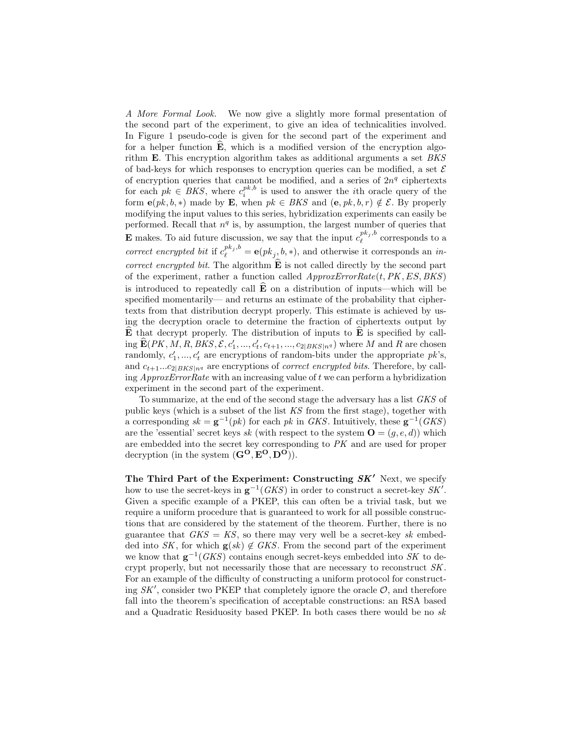A More Formal Look. We now give a slightly more formal presentation of the second part of the experiment, to give an idea of technicalities involved. In Figure 1 pseudo-code is given for the second part of the experiment and for a helper function  $\mathbf{E}$ , which is a modified version of the encryption algorithm E. This encryption algorithm takes as additional arguments a set BKS of bad-keys for which responses to encryption queries can be modified, a set  $\mathcal E$ of encryption queries that cannot be modified, and a series of  $2n^q$  ciphertexts for each  $pk \in BKS$ , where  $c_i^{pk,b}$  is used to answer the *i*th oracle query of the form  $e(pk, b, *)$  made by **E**, when  $pk \in BKS$  and  $(e, pk, b, r) \notin \mathcal{E}$ . By properly modifying the input values to this series, hybridization experiments can easily be performed. Recall that  $n<sup>q</sup>$  is, by assumption, the largest number of queries that **E** makes. To aid future discussion, we say that the input  $c_{\ell}^{pk_j,b}$  $e^{\mu \kappa_j,\sigma}$  corresponds to a correct encrypted bit if  $c_{\ell}^{pk_j,b} = \mathbf{e}(pk_j,b,*)$ , and otherwise it corresponds an incorrect encrypted bit. The algorithm  $\hat{\mathbf{E}}$  is not called directly by the second part of the experiment, rather a function called  $ApproxErrorRate(t, PK, ES, BKS)$ is introduced to repeatedly call  $\hat{E}$  on a distribution of inputs—which will be specified momentarily— and returns an estimate of the probability that ciphertexts from that distribution decrypt properly. This estimate is achieved by using the decryption oracle to determine the fraction of ciphertexts output by  $\bf{E}$  that decrypt properly. The distribution of inputs to  $\bf{E}$  is specified by calling  $\widehat{\mathbf{E}}(PK, M, R, BKS, \mathcal{E}, c'_1, ..., c'_t, c_{t+1}, ..., c_{2|BKS|n^q})$  where M and R are chosen randomly,  $c'_1, ..., c'_t$  are encryptions of random-bits under the appropriate  $pk$ 's, and  $c_{t+1}...c_{2|BKS|n^q}$  are encryptions of *correct encrypted bits*. Therefore, by calling  $ApproxErrorRate$  with an increasing value of t we can perform a hybridization experiment in the second part of the experiment.

To summarize, at the end of the second stage the adversary has a list GKS of public keys (which is a subset of the list KS from the first stage), together with a corresponding  $sk = \mathbf{g}^{-1}(pk)$  for each  $pk$  in GKS. Intuitively, these  $\mathbf{g}^{-1}(GKS)$ are the 'essential' secret keys sk (with respect to the system  $\mathbf{O} = (g, e, d)$ ) which are embedded into the secret key corresponding to PK and are used for proper decryption (in the system  $(\mathbf{G}^{\mathbf{O}}, \mathbf{E}^{\mathbf{O}}, \mathbf{D}^{\mathbf{O}})$ ).

The Third Part of the Experiment: Constructing  $SK'$  Next, we specify how to use the secret-keys in  $\mathbf{g}^{-1}(GKS)$  in order to construct a secret-key  $SK'$ . Given a specific example of a PKEP, this can often be a trivial task, but we require a uniform procedure that is guaranteed to work for all possible constructions that are considered by the statement of the theorem. Further, there is no guarantee that  $GKS = KS$ , so there may very well be a secret-key sk embedded into SK, for which  $g(sk) \notin GKS$ . From the second part of the experiment we know that  $g^{-1}(GKS)$  contains enough secret-keys embedded into SK to decrypt properly, but not necessarily those that are necessary to reconstruct SK. For an example of the difficulty of constructing a uniform protocol for constructing  $SK'$ , consider two PKEP that completely ignore the oracle  $\mathcal{O}$ , and therefore fall into the theorem's specification of acceptable constructions: an RSA based and a Quadratic Residuosity based PKEP. In both cases there would be no sk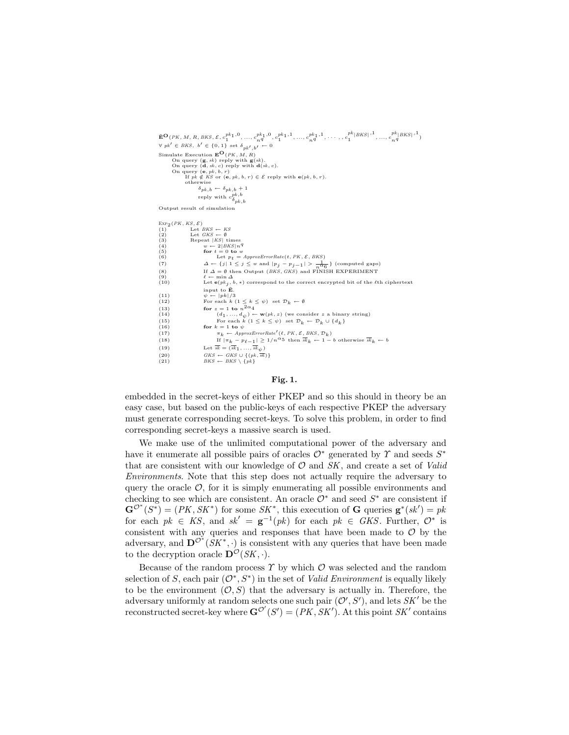```
\hat{\mathbf{E}}^{\mathbf{O}}(PK, M, R, BKS, \varepsilon, c_1^{pk_1,0}, \ldots, c_n^{pk_1,1}, c_1^{pk_1,1}, \ldots, c_n^{pk_1,1}, \ldots, c_1^{pk} |BKS|^{1,1}, \ldots, c_n^{pk} |BKS|^{1,1})<br>
\forall p k' \in BKS, b' \in \{0, 1\} set \delta_{p k', b'} \leftarrow 0Simulate Execution \mathbf{E}^{\mathbf{O}}(PK, M, R)On query (g, sk) reply with g(sk).<br>
On query (\mathbf{d}, sk, c) reply with \mathbf{d}(sk, c).<br>
On query (\mathbf{e}, pk, b, r)<br>
If pk \notin KS or (\mathbf{e}, pk, b, r) \in \mathcal{E} reply with \mathbf{e}(pk, b, r).
                       otherwise
                                    \delta_{pk,b} \leftarrow \delta_{pk,b} + 1reply with c^{pk,\,b}_{\delta_{pk,\,b}}Output result of simulation
\begin{array}{lll} \vspace{2mm} \text{Exp}_2\left(PK,\, KS,\, \mathcal{E}\right) & \text{Let} & \text{if} & \text{if} & \text{if} & \text{if} & \text{if} & \text{if} & \text{if} & \text{if} & \text{if} & \text{if} & \text{if} & \text{if} & \text{if} & \text{if} & \text{if} & \text{if} & \text{if} & \text{if} & \text{if} & \text{if} & \text{if} & \text{if} & \text{if} & \text{if} & \text{if} & \text{if} & \text{if} & \text{if} & \text{if} & \(1) Let BKS \leftarrow KS<br>
(2) Let GKS \leftarrow \emptyset<br>
(3) Repeat |KS| times
 (4) w \leftarrow 2|BKS|n^q<br>
(5) for t = 0 to w<br>
(6) Let p_t = ApproxErrorRate(t, PK, \mathcal{E}, BKS)(7) \Delta \leftarrow \{j | 1 \leq j \leq w \text{ and } |p_j - p_{j-1}| > \frac{1}{n^{\alpha} \delta} \} (computed gaps)
 (8) If \Delta = \emptyset then Output (BKS, GKS) and FINISH EXPERIMENT (9) \ell \leftarrow \min \Delta(10) Let e(pk_j, b, *) correspond to the correct encrypted bit of the \ellth ciphertext
 (11) \psi \leftarrow |pk|/3<br>
\text{For each } k \text{ } (1 \leq k \leq \psi) \text{ set } \mathcal{D}_k \leftarrow \emptyset<br>
(13) \text{for } z = 1 \text{ to } n^2 \alpha_4(13) for z = 1 to n^2 \alpha_4<br>
(14) (d_1, ..., d_{\psi}) \leftarrow \mathbf{w}(pk, z) (we consider z a binary string)<br>
(15) For each k (1 \le k \le \psi) set \mathcal{D}_k \leftarrow \mathcal{D}_k \cup \{d_k\}(15) For each k (1 \le k \le \psi) set \mathcal{D}_k \leftarrow \mathcal{D}_k \cup \{d_k\}<br>(16) for k = 1 to \psi(16) for k = 1 to \psi<br>(17) \pi_k \leftarrow Appi(17) \pi_k \leftarrow \text{ApproxErrorRate}'(\ell, PK, \mathcal{E}, BKS, \mathcal{D}_k)<br>
(18) If |\pi_k - p_{\ell-1}| > 1/n^{\alpha_5} then \overline{sk}_k \leftarrow 1 - i(18) If |\pi_k - p_{\ell-1}| \geq 1/n^{\alpha_5} then \overline{sk}_k \leftarrow 1 - b otherwise \overline{sk}_k \leftarrow b(19) Let \overline{sk} = (\overline{sk}_1, ..., \overline{sk}_{\psi})<br>
(20) GKS \leftarrow GKS \cup \{(pk, \overline{sk}\})<br>
(21) BKS \leftarrow BKS \setminus \{pk\}(20) GKS \leftarrow GKS \cup \{(pk, \overline{sk})\}<br>
(BKS \leftarrow BKS \setminus \{pk\})
```
#### Fig. 1.

embedded in the secret-keys of either PKEP and so this should in theory be an easy case, but based on the public-keys of each respective PKEP the adversary must generate corresponding secret-keys. To solve this problem, in order to find corresponding secret-keys a massive search is used.

We make use of the unlimited computational power of the adversary and have it enumerate all possible pairs of oracles  $\mathcal{O}^*$  generated by  $\Upsilon$  and seeds  $S^*$ that are consistent with our knowledge of  $\mathcal{O}$  and  $SK$ , and create a set of *Valid* Environments. Note that this step does not actually require the adversary to query the oracle  $\mathcal{O}$ , for it is simply enumerating all possible environments and checking to see which are consistent. An oracle  $\mathcal{O}^*$  and seed  $S^*$  are consistent if  $\mathbf{G}^{\mathcal{O}^*}(S^*) = (PK, SK^*)$  for some  $SK^*$ , this execution of **G** queries  $\mathbf{g}^*(sk') = pk$ for each  $pk \in KS$ , and  $sk' = \mathbf{g}^{-1}(pk)$  for each  $pk \in GKS$ . Further,  $\mathcal{O}^*$  is consistent with any queries and responses that have been made to  $\mathcal O$  by the adversary, and  $\mathbf{D}^{\mathcal{O}^*}(\tilde{S}K^*,\cdot)$  is consistent with any queries that have been made to the decryption oracle  $\mathbf{D}^{\mathcal{O}}(SK, \cdot)$ .

Because of the random process  $\Upsilon$  by which  $\mathcal O$  was selected and the random selection of S, each pair  $(\mathcal{O}^*, S^*)$  in the set of Valid Environment is equally likely to be the environment  $(0, S)$  that the adversary is actually in. Therefore, the adversary uniformly at random selects one such pair  $(\mathcal{O}', S')$ , and lets  $SK'$  be the reconstructed secret-key where  $\mathbf{G}^{\mathcal{O}'}(S') = (PK, SK')$ . At this point  $SK'$  contains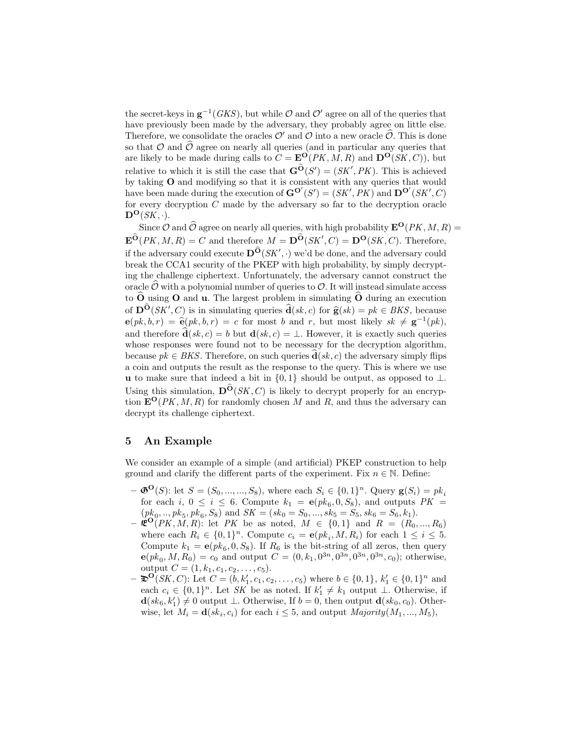the secret-keys in  $\mathbf{g}^{-1}(GKS)$ , but while  $\mathcal{O}$  and  $\mathcal{O}'$  agree on all of the queries that have previously been made by the adversary, they probably agree on little else. Therefore, we consolidate the oracles  $\mathcal{O}'$  and  $\mathcal{O}$  into a new oracle  $\mathcal{O}$ . This is done so that  $\mathcal O$  and  $\mathcal O$  agree on nearly all queries (and in particular any queries that are likely to be made during calls to  $C = \mathbf{E}^{\mathbf{O}}(PK, M, R)$  and  $\mathbf{D}^{\mathbf{O}}(SK, C)$ , but relative to which it is still the case that  $\mathbf{G}^{\widehat{\mathbf{O}}}(S') = (SK', PK)$ . This is achieved by taking O and modifying so that it is consistent with any queries that would have been made during the execution of  $\mathbf{G}^{\mathbf{O}'}(S') = (SK', PK)$  and  $\mathbf{D}^{\mathbf{O}'}(SK', C)$ for every decryption  $C$  made by the adversary so far to the decryption oracle  $\mathbf{D}^{\mathbf{O}}(SK, \cdot).$ 

Since O and  $\widehat{\mathcal{O}}$  agree on nearly all queries, with high probability  $\mathbf{E}^{\mathbf{O}}(PK, M, R)$  $\mathbf{E}^{\widehat{\mathbf{O}}}(PK, M, R) = C$  and therefore  $M = \mathbf{D}^{\widehat{\mathbf{O}}}(SK', C) = \mathbf{D}^{\mathbf{O}}(SK, C)$ . Therefore, if the adversary could execute  $\textbf{D}^{\widehat{\textbf{O}}}(SK',\cdot)$  we'd be done, and the adversary could break the CCA1 security of the PKEP with high probability, by simply decrypting the challenge ciphertext. Unfortunately, the adversary cannot construct the oracle  $\hat{\mathcal{O}}$  with a polynomial number of queries to  $\hat{\mathcal{O}}$ . It will instead simulate access to  $\hat{\mathbf{O}}$  using **O** and **u**. The largest problem in simulating  $\hat{\mathbf{O}}$  during an execution of  $\mathbf{D}^{\widehat{\mathbf{O}}}(SK', C)$  is in simulating queries  $\widehat{\mathbf{d}}(sk, c)$  for  $\widehat{\mathbf{g}}(sk) = pk \in BKS$ , because  $\mathbf{e}(pk, b, r) = \hat{\mathbf{e}}(pk, b, r) = c$  for most b and r, but most likely  $sk \neq \mathbf{g}^{-1}(pk)$ , and therefore  $\hat{\mathbf{d}}(sk, c) = b$  but  $\mathbf{d}(sk, c) = \perp$ . However, it is exactly such queries whose responses were found not to be necessary for the decryption algorithm, because  $pk \in BKS$ . Therefore, on such queries  $\mathbf{d}(sk, c)$  the adversary simply flips a coin and outputs the result as the response to the query. This is where we use u to make sure that indeed a bit in  $\{0,1\}$  should be output, as opposed to  $\bot$ . Using this simulation,  $\mathbf{D}^{\mathbf{O}}(SK, C)$  is likely to decrypt properly for an encryption  $\mathbf{E}^{\mathbf{O}}(PK, M, R)$  for randomly chosen M and R, and thus the adversary can decrypt its challenge ciphertext.

## 5 An Example

We consider an example of a simple (and artificial) PKEP construction to help ground and clarify the different parts of the experiment. Fix  $n \in \mathbb{N}$ . Define:

- $\mathfrak{G}^{\mathbf{O}}(S)$ : let  $S = (S_0, ..., ..., S_8)$ , where each  $S_i \in \{0, 1\}^n$ . Query  $\mathbf{g}(S_i) = p k_i$ for each i,  $0 \le i \le 6$ . Compute  $k_1 = e(pk_6, 0, S_8)$ , and outputs  $PK =$  $(pk_0,..,pk_5,pk_6, S_8)$  and  $SK = (sk_0 = S_0, ..., sk_5 = S_5, sk_6 = S_6, k_1).$
- $\mathfrak{E}^{\bullet}(PK, M, R)$ : let PK be as noted,  $M \in \{0, 1\}$  and  $R = (R_0, ..., R_6)$ where each  $R_i \in \{0,1\}^n$ . Compute  $c_i = \mathbf{e}(pk_i, M, R_i)$  for each  $1 \leq i \leq 5$ . Compute  $k_1 = e(pk_6, 0, S_8)$ . If  $R_6$  is the bit-string of all zeros, then query  $e(pk_0, M, R_0) = c_0$  and output  $C = (0, k_1, 0^{3n}, 0^{3n}, 0^{3n}, 0^{3n}, c_0)$ ; otherwise, output  $C = (1, k_1, c_1, c_2, \ldots, c_5)$ .
- $-\mathbf{\Sigma}^{\mathbf{O}}(SK, C)$ : Let  $C = (b, k'_1, c_1, c_2, \dots, c_5)$  where  $b \in \{0, 1\}, k'_1 \in \{0, 1\}^n$  and each  $c_i \in \{0,1\}^n$ . Let SK be as noted. If  $k'_1 \neq k_1$  output  $\perp$ . Otherwise, if  $\mathbf{d}(sk_6, k'_1) \neq 0$  output  $\perp$ . Otherwise, If  $b = 0$ , then output  $\mathbf{d}(sk_0, c_0)$ . Otherwise, let  $M_i = \mathbf{d}(sk_i, c_i)$  for each  $i \leq 5$ , and output  $Majority(M_1, ..., M_5)$ ,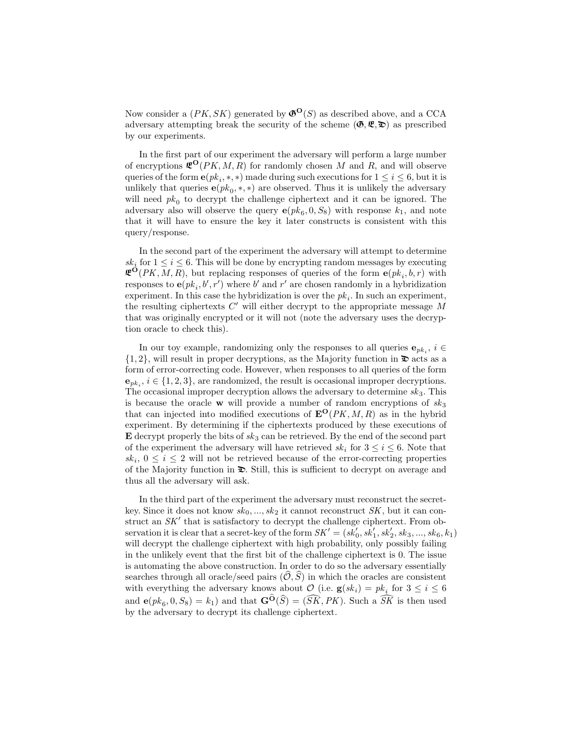Now consider a  $(PK, SK)$  generated by  $\mathfrak{G}^{\mathbf{O}}(S)$  as described above, and a CCA adversary attempting break the security of the scheme  $(\mathfrak{G}, \mathfrak{E}, \mathfrak{D})$  as prescribed by our experiments.

In the first part of our experiment the adversary will perform a large number of encryptions  $\mathfrak{E}^{\mathbf{O}}(PK, M, R)$  for randomly chosen M and R, and will observe queries of the form  $e(pk_i, *, *)$  made during such executions for  $1 \leq i \leq 6$ , but it is unlikely that queries  $e(pk_0, *, *)$  are observed. Thus it is unlikely the adversary will need  $pk_0$  to decrypt the challenge ciphertext and it can be ignored. The adversary also will observe the query  $e(pk_6, 0, S_8)$  with response  $k_1$ , and note that it will have to ensure the key it later constructs is consistent with this query/response.

In the second part of the experiment the adversary will attempt to determine  $sk_i$  for  $1 \leq i \leq 6$ . This will be done by encrypting random messages by executing  $\mathfrak{L}^{\mathbf{O}}(PK, M, R)$ , but replacing responses of queries of the form  $\mathbf{e}(pk_i, b, r)$  with responses to  $e(pk_i, b', r')$  where b' and  $r'$  are chosen randomly in a hybridization experiment. In this case the hybridization is over the  $pk<sub>i</sub>$ . In such an experiment, the resulting ciphertexts  $C'$  will either decrypt to the appropriate message  $M$ that was originally encrypted or it will not (note the adversary uses the decryption oracle to check this).

In our toy example, randomizing only the responses to all queries  $\mathbf{e}_{pk_i}$ ,  $i \in$  $\{1, 2\}$ , will result in proper decryptions, as the Majority function in  $\mathcal{D}$  acts as a form of error-correcting code. However, when responses to all queries of the form  $e_{pk_i}$ ,  $i \in \{1, 2, 3\}$ , are randomized, the result is occasional improper decryptions. The occasional improper decryption allows the adversary to determine  $sk_3$ . This is because the oracle w will provide a number of random encryptions of  $sk_3$ that can injected into modified executions of  $\mathbf{E}^{\mathbf{O}}(PK, M, R)$  as in the hybrid experiment. By determining if the ciphertexts produced by these executions of  $E$  decrypt properly the bits of  $sk_3$  can be retrieved. By the end of the second part of the experiment the adversary will have retrieved  $sk_i$  for  $3 \leq i \leq 6$ . Note that  $sk_i, 0 \leq i \leq 2$  will not be retrieved because of the error-correcting properties of the Majority function in  $\Sigma$ . Still, this is sufficient to decrypt on average and thus all the adversary will ask.

In the third part of the experiment the adversary must reconstruct the secretkey. Since it does not know  $sk_0, ..., sk_2$  it cannot reconstruct  $SK$ , but it can construct an  $SK'$  that is satisfactory to decrypt the challenge ciphertext. From observation it is clear that a secret-key of the form  $SK' = (s\vec{k}'_0, s\vec{k}'_1, sk'_2, sk_3, ..., sk_6, k_1)$ will decrypt the challenge ciphertext with high probability, only possibly failing in the unlikely event that the first bit of the challenge ciphertext is 0. The issue is automating the above construction. In order to do so the adversary essentially searches through all oracle/seed pairs  $(\widehat{O}, \widehat{S})$  in which the oracles are consistent with everything the adversary knows about  $\mathcal{O}$  (i.e.  $\mathbf{g}(sk_i) = pk_i$  for  $3 \leq i \leq 6$ and  $e(pk_6, 0, S_8) = k_1$ ) and that  $\mathbf{G}^{\bullet}(\widehat{S}) = (\widehat{SK}, PK)$ . Such a  $\widehat{SK}$  is then used by the adversary to decrypt its challenge ciphertext.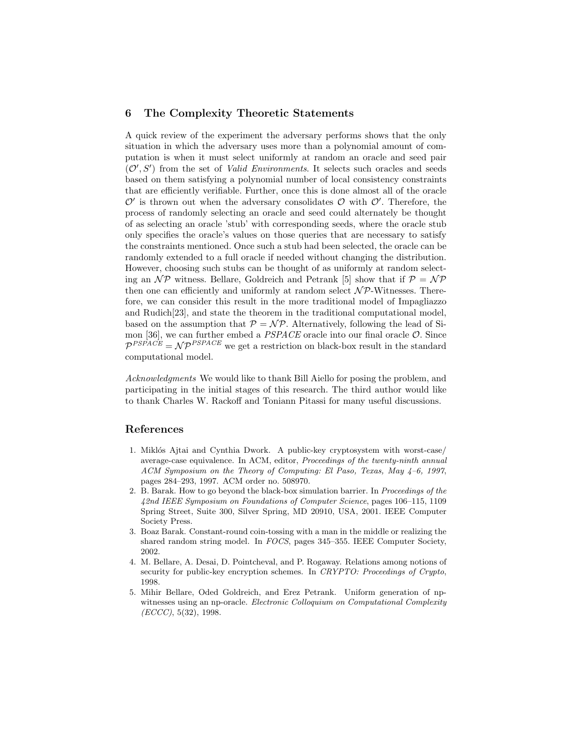# 6 The Complexity Theoretic Statements

A quick review of the experiment the adversary performs shows that the only situation in which the adversary uses more than a polynomial amount of computation is when it must select uniformly at random an oracle and seed pair  $(\mathcal{O}', S')$  from the set of *Valid Environments*. It selects such oracles and seeds based on them satisfying a polynomial number of local consistency constraints that are efficiently verifiable. Further, once this is done almost all of the oracle  $\mathcal{O}'$  is thrown out when the adversary consolidates  $\mathcal O$  with  $\mathcal O'$ . Therefore, the process of randomly selecting an oracle and seed could alternately be thought of as selecting an oracle 'stub' with corresponding seeds, where the oracle stub only specifies the oracle's values on those queries that are necessary to satisfy the constraints mentioned. Once such a stub had been selected, the oracle can be randomly extended to a full oracle if needed without changing the distribution. However, choosing such stubs can be thought of as uniformly at random selecting an  $\mathcal{NP}$  witness. Bellare, Goldreich and Petrank [5] show that if  $\mathcal{P} = \mathcal{NP}$ then one can efficiently and uniformly at random select  $\mathcal{NP}\text{-Witnesses.}$  Therefore, we can consider this result in the more traditional model of Impagliazzo and Rudich[23], and state the theorem in the traditional computational model, based on the assumption that  $P = \mathcal{NP}$ . Alternatively, following the lead of Simon [36], we can further embed a  $PSPACE$  oracle into our final oracle  $O$ . Since  $\mathcal{P}^{PSPACE} = \mathcal{NP}^{PSPACE}$  we get a restriction on black-box result in the standard computational model.

Acknowledgments We would like to thank Bill Aiello for posing the problem, and participating in the initial stages of this research. The third author would like to thank Charles W. Rackoff and Toniann Pitassi for many useful discussions.

## References

- 1. Miklós Ajtai and Cynthia Dwork. A public-key cryptosystem with worst-case/ average-case equivalence. In ACM, editor, Proceedings of the twenty-ninth annual ACM Symposium on the Theory of Computing: El Paso, Texas, May 4–6, 1997, pages 284–293, 1997. ACM order no. 508970.
- 2. B. Barak. How to go beyond the black-box simulation barrier. In Proceedings of the 42nd IEEE Symposium on Foundations of Computer Science, pages 106–115, 1109 Spring Street, Suite 300, Silver Spring, MD 20910, USA, 2001. IEEE Computer Society Press.
- 3. Boaz Barak. Constant-round coin-tossing with a man in the middle or realizing the shared random string model. In FOCS, pages 345–355. IEEE Computer Society, 2002.
- 4. M. Bellare, A. Desai, D. Pointcheval, and P. Rogaway. Relations among notions of security for public-key encryption schemes. In CRYPTO: Proceedings of Crypto, 1998.
- 5. Mihir Bellare, Oded Goldreich, and Erez Petrank. Uniform generation of npwitnesses using an np-oracle. Electronic Colloquium on Computational Complexity  $(ECCC), 5(32), 1998.$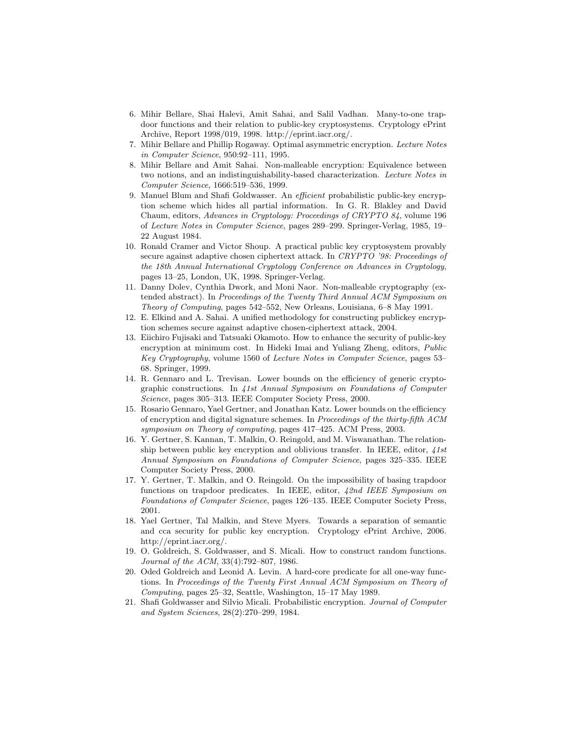- 6. Mihir Bellare, Shai Halevi, Amit Sahai, and Salil Vadhan. Many-to-one trapdoor functions and their relation to public-key cryptosystems. Cryptology ePrint Archive, Report 1998/019, 1998. http://eprint.iacr.org/.
- 7. Mihir Bellare and Phillip Rogaway. Optimal asymmetric encryption. Lecture Notes in Computer Science, 950:92–111, 1995.
- 8. Mihir Bellare and Amit Sahai. Non-malleable encryption: Equivalence between two notions, and an indistinguishability-based characterization. Lecture Notes in Computer Science, 1666:519–536, 1999.
- 9. Manuel Blum and Shafi Goldwasser. An efficient probabilistic public-key encryption scheme which hides all partial information. In G. R. Blakley and David Chaum, editors, Advances in Cryptology: Proceedings of CRYPTO 84, volume 196 of Lecture Notes in Computer Science, pages 289–299. Springer-Verlag, 1985, 19– 22 August 1984.
- 10. Ronald Cramer and Victor Shoup. A practical public key cryptosystem provably secure against adaptive chosen ciphertext attack. In CRYPTO '98: Proceedings of the 18th Annual International Cryptology Conference on Advances in Cryptology, pages 13–25, London, UK, 1998. Springer-Verlag.
- 11. Danny Dolev, Cynthia Dwork, and Moni Naor. Non-malleable cryptography (extended abstract). In Proceedings of the Twenty Third Annual ACM Symposium on Theory of Computing, pages 542–552, New Orleans, Louisiana, 6–8 May 1991.
- 12. E. Elkind and A. Sahai. A unified methodology for constructing publickey encryption schemes secure against adaptive chosen-ciphertext attack, 2004.
- 13. Eiichiro Fujisaki and Tatsuaki Okamoto. How to enhance the security of public-key encryption at minimum cost. In Hideki Imai and Yuliang Zheng, editors, Public Key Cryptography, volume 1560 of Lecture Notes in Computer Science, pages 53– 68. Springer, 1999.
- 14. R. Gennaro and L. Trevisan. Lower bounds on the efficiency of generic cryptographic constructions. In 41st Annual Symposium on Foundations of Computer Science, pages 305–313. IEEE Computer Society Press, 2000.
- 15. Rosario Gennaro, Yael Gertner, and Jonathan Katz. Lower bounds on the efficiency of encryption and digital signature schemes. In Proceedings of the thirty-fifth ACM symposium on Theory of computing, pages 417–425. ACM Press, 2003.
- 16. Y. Gertner, S. Kannan, T. Malkin, O. Reingold, and M. Viswanathan. The relationship between public key encryption and oblivious transfer. In IEEE, editor,  $41st$ Annual Symposium on Foundations of Computer Science, pages 325–335. IEEE Computer Society Press, 2000.
- 17. Y. Gertner, T. Malkin, and O. Reingold. On the impossibility of basing trapdoor functions on trapdoor predicates. In IEEE, editor, 42nd IEEE Symposium on Foundations of Computer Science, pages 126–135. IEEE Computer Society Press, 2001.
- 18. Yael Gertner, Tal Malkin, and Steve Myers. Towards a separation of semantic and cca security for public key encryption. Cryptology ePrint Archive, 2006. http://eprint.iacr.org/.
- 19. O. Goldreich, S. Goldwasser, and S. Micali. How to construct random functions. Journal of the ACM, 33(4):792–807, 1986.
- 20. Oded Goldreich and Leonid A. Levin. A hard-core predicate for all one-way functions. In Proceedings of the Twenty First Annual ACM Symposium on Theory of Computing, pages 25–32, Seattle, Washington, 15–17 May 1989.
- 21. Shafi Goldwasser and Silvio Micali. Probabilistic encryption. Journal of Computer and System Sciences, 28(2):270–299, 1984.